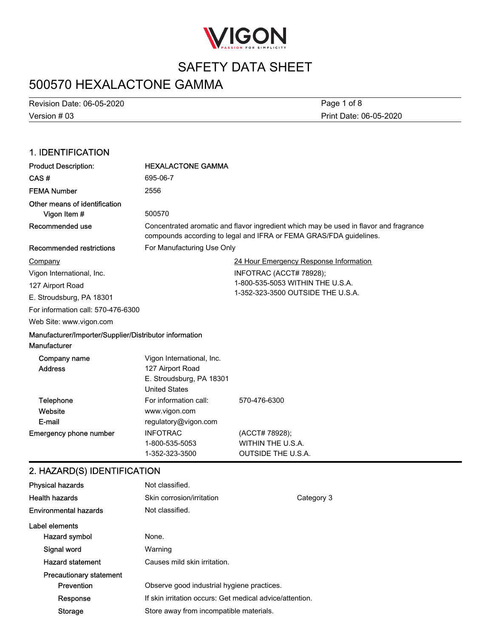

## 500570 HEXALACTONE GAMMA

Version # 03 Revision Date: 06-05-2020 Print Date: 06-05-2020 Page 1 of 8

### 1. IDENTIFICATION Product Description: HEXALACTONE GAMMA CAS # 695-06-7 FEMA Number 2556 Other means of identification **Vigon Item #** 500570 Concentrated aromatic and flavor ingredient which may be used in flavor and fragrance compounds according to legal and IFRA or FEMA GRAS/FDA guidelines. Recommended use Recommended restrictions For Manufacturing Use Only 24 Hour Emergency Response Information INFOTRAC (ACCT# 78928); 1-800-535-5053 WITHIN THE U.S.A. 1-352-323-3500 OUTSIDE THE U.S.A. Web Site: www.vigon.com For information call: 570-476-6300 Company Vigon International, Inc. 127 Airport Road E. Stroudsburg, PA 18301 Manufacturer/Importer/Supplier/Distributor information Manufacturer Vigon International, Inc. Address 127 Airport Road Company name **Website** Telephone For information call: 570-476-6300 Emergency phone number INFOTRAC (ACCT# 78928); 1-800-535-5053 WITHIN THE U.S.A. 1-352-323-3500 OUTSIDE THE U.S.A. E-mail United States www.vigon.com regulatory@vigon.com E. Stroudsburg, PA 18301 2. HAZARD(S) IDENTIFICATION Physical hazards Not classified. Health hazards **Skin corrosion/irritation** Category 3 **Environmental hazards** Not classified. Label elements Hazard symbol None. Signal word Warning Hazard statement Causes mild skin irritation. Precautionary statement **Prevention C** Observe good industrial hygiene practices. Response If skin irritation occurs: Get medical advice/attention. Storage Store away from incompatible materials.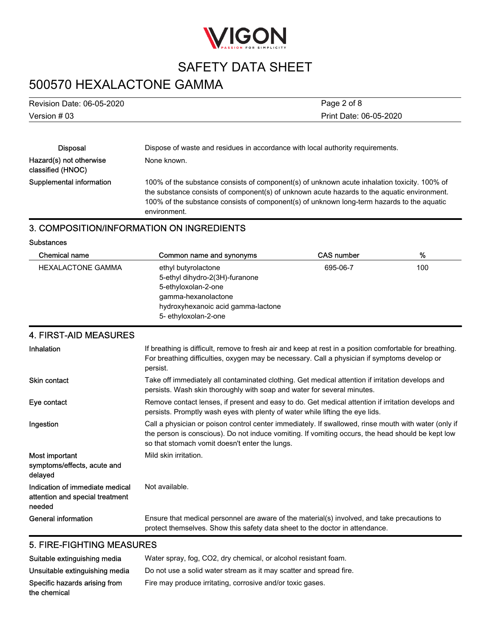

# 500570 HEXALACTONE GAMMA

| Revision Date: 06-05-2020 | Page 2 of 8                                                                    |
|---------------------------|--------------------------------------------------------------------------------|
| Version # 03              | Print Date: 06-05-2020                                                         |
|                           |                                                                                |
| Disposal                  | Dispose of waste and residues in accordance with local authority requirements. |

| יוטטעוע                                      | <u>Dispose of waste and residues in accordance with local adtribity requirements.</u>                                                                                                                                                                                                                     |
|----------------------------------------------|-----------------------------------------------------------------------------------------------------------------------------------------------------------------------------------------------------------------------------------------------------------------------------------------------------------|
| Hazard(s) not otherwise<br>classified (HNOC) | None known.                                                                                                                                                                                                                                                                                               |
| Supplemental information                     | 100% of the substance consists of component(s) of unknown acute inhalation toxicity. 100% of<br>the substance consists of component(s) of unknown acute hazards to the aquatic environment.<br>100% of the substance consists of component(s) of unknown long-term hazards to the aquatic<br>environment. |

### 3. COMPOSITION/INFORMATION ON INGREDIENTS

Substances

| Chemical name            | Common name and synonyms                                                                                                                                          | <b>CAS number</b> | %   |
|--------------------------|-------------------------------------------------------------------------------------------------------------------------------------------------------------------|-------------------|-----|
| <b>HEXALACTONE GAMMA</b> | ethyl butyrolactone<br>5-ethyl dihydro-2(3H)-furanone<br>5-ethyloxolan-2-one<br>gamma-hexanolactone<br>hydroxyhexanoic acid gamma-lactone<br>5- ethyloxolan-2-one | 695-06-7          | 100 |

### 4. FIRST-AID MEASURES

| Inhalation                                                                   | If breathing is difficult, remove to fresh air and keep at rest in a position comfortable for breathing.<br>For breathing difficulties, oxygen may be necessary. Call a physician if symptoms develop or<br>persist.                                        |
|------------------------------------------------------------------------------|-------------------------------------------------------------------------------------------------------------------------------------------------------------------------------------------------------------------------------------------------------------|
| <b>Skin contact</b>                                                          | Take off immediately all contaminated clothing. Get medical attention if irritation develops and<br>persists. Wash skin thoroughly with soap and water for several minutes.                                                                                 |
| Eye contact                                                                  | Remove contact lenses, if present and easy to do. Get medical attention if irritation develops and<br>persists. Promptly wash eyes with plenty of water while lifting the eye lids.                                                                         |
| Ingestion                                                                    | Call a physician or poison control center immediately. If swallowed, rinse mouth with water (only if<br>the person is conscious). Do not induce vomiting. If vomiting occurs, the head should be kept low<br>so that stomach vomit doesn't enter the lungs. |
| Most important<br>symptoms/effects, acute and<br>delayed                     | Mild skin irritation.                                                                                                                                                                                                                                       |
| Indication of immediate medical<br>attention and special treatment<br>needed | Not available.                                                                                                                                                                                                                                              |
| General information                                                          | Ensure that medical personnel are aware of the material(s) involved, and take precautions to<br>protect themselves. Show this safety data sheet to the doctor in attendance.                                                                                |

## 5. FIRE-FIGHTING MEASURES

| Suitable extinguishing media   | Water spray, fog. CO2, dry chemical, or alcohol resistant foam.    |
|--------------------------------|--------------------------------------------------------------------|
| Unsuitable extinguishing media | Do not use a solid water stream as it may scatter and spread fire. |
| Specific hazards arising from  | Fire may produce irritating, corrosive and/or toxic gases.         |
| the chemical                   |                                                                    |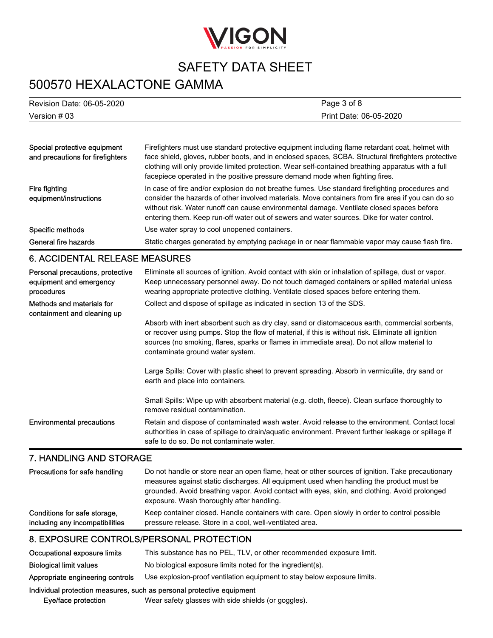

# 500570 HEXALACTONE GAMMA

| Revision Date: 06-05-2020 | Page 3 of 8            |
|---------------------------|------------------------|
| Version # 03              | Print Date: 06-05-2020 |

| Special protective equipment<br>and precautions for firefighters | Firefighters must use standard protective equipment including flame retardant coat, helmet with<br>face shield, gloves, rubber boots, and in enclosed spaces, SCBA. Structural firefighters protective<br>clothing will only provide limited protection. Wear self-contained breathing apparatus with a full<br>facepiece operated in the positive pressure demand mode when fighting fires.    |
|------------------------------------------------------------------|-------------------------------------------------------------------------------------------------------------------------------------------------------------------------------------------------------------------------------------------------------------------------------------------------------------------------------------------------------------------------------------------------|
| Fire fighting<br>equipment/instructions                          | In case of fire and/or explosion do not breathe fumes. Use standard firefighting procedures and<br>consider the hazards of other involved materials. Move containers from fire area if you can do so<br>without risk. Water runoff can cause environmental damage. Ventilate closed spaces before<br>entering them. Keep run-off water out of sewers and water sources. Dike for water control. |
| Specific methods                                                 | Use water spray to cool unopened containers.                                                                                                                                                                                                                                                                                                                                                    |
| General fire hazards                                             | Static charges generated by emptying package in or near flammable vapor may cause flash fire.                                                                                                                                                                                                                                                                                                   |

## 6. ACCIDENTAL RELEASE MEASURES

| Personal precautions, protective<br>equipment and emergency<br>procedures | Eliminate all sources of ignition. Avoid contact with skin or inhalation of spillage, dust or vapor.<br>Keep unnecessary personnel away. Do not touch damaged containers or spilled material unless<br>wearing appropriate protective clothing. Ventilate closed spaces before entering them.                                          |
|---------------------------------------------------------------------------|----------------------------------------------------------------------------------------------------------------------------------------------------------------------------------------------------------------------------------------------------------------------------------------------------------------------------------------|
| Methods and materials for<br>containment and cleaning up                  | Collect and dispose of spillage as indicated in section 13 of the SDS.                                                                                                                                                                                                                                                                 |
|                                                                           | Absorb with inert absorbent such as dry clay, sand or diatomaceous earth, commercial sorbents,<br>or recover using pumps. Stop the flow of material, if this is without risk. Eliminate all ignition<br>sources (no smoking, flares, sparks or flames in immediate area). Do not allow material to<br>contaminate ground water system. |
|                                                                           | Large Spills: Cover with plastic sheet to prevent spreading. Absorb in vermiculite, dry sand or<br>earth and place into containers.                                                                                                                                                                                                    |
|                                                                           | Small Spills: Wipe up with absorbent material (e.g. cloth, fleece). Clean surface thoroughly to<br>remove residual contamination.                                                                                                                                                                                                      |
| <b>Environmental precautions</b>                                          | Retain and dispose of contaminated wash water. Avoid release to the environment. Contact local<br>authorities in case of spillage to drain/aquatic environment. Prevent further leakage or spillage if<br>safe to do so. Do not contaminate water.                                                                                     |
| $\blacksquare$                                                            |                                                                                                                                                                                                                                                                                                                                        |

### 7. HANDLING AND STORAGE

| Precautions for safe handling   | Do not handle or store near an open flame, heat or other sources of ignition. Take precautionary<br>measures against static discharges. All equipment used when handling the product must be<br>grounded. Avoid breathing vapor. Avoid contact with eyes, skin, and clothing. Avoid prolonged<br>exposure. Wash thoroughly after handling. |
|---------------------------------|--------------------------------------------------------------------------------------------------------------------------------------------------------------------------------------------------------------------------------------------------------------------------------------------------------------------------------------------|
| Conditions for safe storage,    | Keep container closed. Handle containers with care. Open slowly in order to control possible                                                                                                                                                                                                                                               |
| including any incompatibilities | pressure release. Store in a cool, well-ventilated area.                                                                                                                                                                                                                                                                                   |

## 8. EXPOSURE CONTROLS/PERSONAL PROTECTION

| Occupational exposure limits                                          | This substance has no PEL, TLV, or other recommended exposure limit.     |  |
|-----------------------------------------------------------------------|--------------------------------------------------------------------------|--|
| <b>Biological limit values</b>                                        | No biological exposure limits noted for the ingredient(s).               |  |
| Appropriate engineering controls                                      | Use explosion-proof ventilation equipment to stay below exposure limits. |  |
| Individual protection measures, such as personal protective equipment |                                                                          |  |
| Eye/face protection                                                   | Wear safety glasses with side shields (or goggles).                      |  |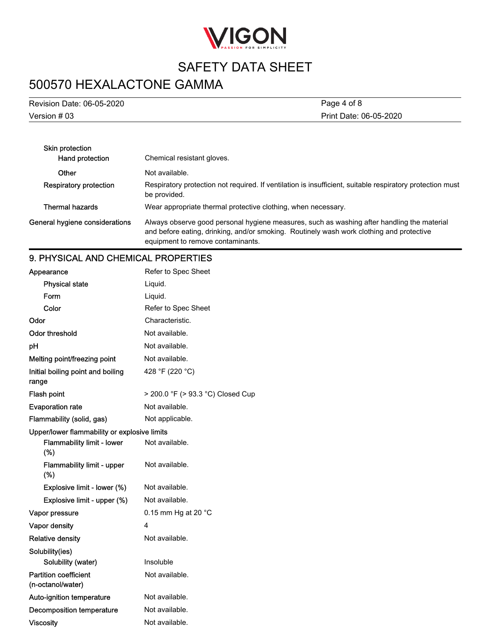

# 500570 HEXALACTONE GAMMA

Version # 03 Revision Date: 06-05-2020 Print Date: 06-05-2020 Page 4 of 8

| Skin protection                |                                                                                                                                                                                                                             |
|--------------------------------|-----------------------------------------------------------------------------------------------------------------------------------------------------------------------------------------------------------------------------|
| Hand protection                | Chemical resistant gloves.                                                                                                                                                                                                  |
| Other                          | Not available.                                                                                                                                                                                                              |
| Respiratory protection         | Respiratory protection not required. If ventilation is insufficient, suitable respiratory protection must<br>be provided.                                                                                                   |
| <b>Thermal hazards</b>         | Wear appropriate thermal protective clothing, when necessary.                                                                                                                                                               |
| General hygiene considerations | Always observe good personal hygiene measures, such as washing after handling the material<br>and before eating, drinking, and/or smoking. Routinely wash work clothing and protective<br>equipment to remove contaminants. |

## 9. PHYSICAL AND CHEMICAL PROPERTIES

| Appearance                                        | Refer to Spec Sheet               |
|---------------------------------------------------|-----------------------------------|
| <b>Physical state</b>                             | Liquid.                           |
| Form                                              | Liquid.                           |
| Color                                             | Refer to Spec Sheet               |
| Odor                                              | Characteristic.                   |
| <b>Odor threshold</b>                             | Not available.                    |
| рH                                                | Not available.                    |
| Melting point/freezing point                      | Not available.                    |
| Initial boiling point and boiling                 | 428 °F (220 °C)                   |
| range                                             |                                   |
| <b>Flash point</b>                                | > 200.0 °F (> 93.3 °C) Closed Cup |
| <b>Evaporation rate</b>                           | Not available.                    |
| Flammability (solid, gas)                         | Not applicable.                   |
| Upper/lower flammability or explosive limits      |                                   |
| <b>Flammability limit - lower</b><br>(%)          | Not available.                    |
| <b>Flammability limit - upper</b><br>(%)          | Not available.                    |
| Explosive limit - lower (%)                       | Not available.                    |
| Explosive limit - upper (%)                       | Not available.                    |
| Vapor pressure                                    | 0.15 mm Hg at 20 °C               |
| Vapor density                                     | 4                                 |
| <b>Relative density</b>                           | Not available.                    |
| Solubility(ies)                                   |                                   |
| Solubility (water)                                | Insoluble                         |
| <b>Partition coefficient</b><br>(n-octanol/water) | Not available.                    |
| Auto-ignition temperature                         | Not available.                    |
| <b>Decomposition temperature</b>                  | Not available.                    |
| <b>Viscosity</b>                                  | Not available.                    |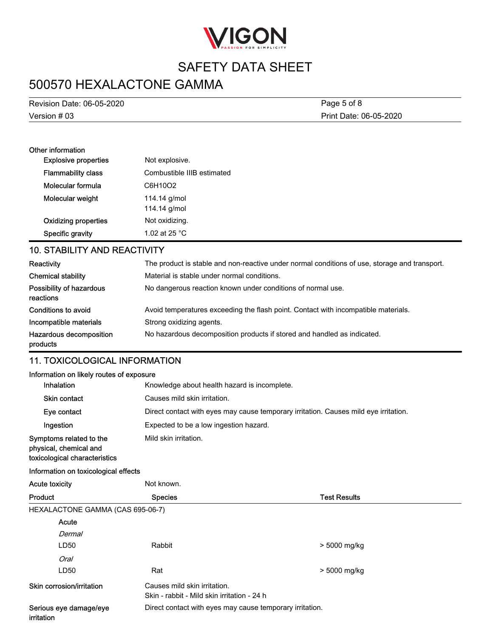

# 500570 HEXALACTONE GAMMA

Version # 03 Revision Date: 06-05-2020 Print Date: 06-05-2020 Page 5 of 8

| Other information           |                            |
|-----------------------------|----------------------------|
| <b>Explosive properties</b> | Not explosive.             |
| <b>Flammability class</b>   | Combustible IIIB estimated |
| Molecular formula           | C6H10O2                    |
| Molecular weight            | 114.14 g/mol               |
|                             | 114.14 g/mol               |
| <b>Oxidizing properties</b> | Not oxidizing.             |
| Specific gravity            | 1.02 at 25 $^{\circ}$ C    |

## 10. STABILITY AND REACTIVITY

| Reactivity                            | The product is stable and non-reactive under normal conditions of use, storage and transport. |
|---------------------------------------|-----------------------------------------------------------------------------------------------|
| <b>Chemical stability</b>             | Material is stable under normal conditions.                                                   |
| Possibility of hazardous<br>reactions | No dangerous reaction known under conditions of normal use.                                   |
| Conditions to avoid                   | Avoid temperatures exceeding the flash point. Contact with incompatible materials.            |
| Incompatible materials                | Strong oxidizing agents.                                                                      |
| Hazardous decomposition<br>products   | No hazardous decomposition products if stored and handled as indicated.                       |

## 11. TOXICOLOGICAL INFORMATION

| Information on likely routes of exposure                                           |                                                                                      |                     |  |  |  |
|------------------------------------------------------------------------------------|--------------------------------------------------------------------------------------|---------------------|--|--|--|
| Inhalation                                                                         | Knowledge about health hazard is incomplete.                                         |                     |  |  |  |
| <b>Skin contact</b>                                                                | Causes mild skin irritation.                                                         |                     |  |  |  |
| Eye contact                                                                        | Direct contact with eyes may cause temporary irritation. Causes mild eye irritation. |                     |  |  |  |
| Ingestion                                                                          | Expected to be a low ingestion hazard.                                               |                     |  |  |  |
| Symptoms related to the<br>physical, chemical and<br>toxicological characteristics | Mild skin irritation.                                                                |                     |  |  |  |
| Information on toxicological effects                                               |                                                                                      |                     |  |  |  |
| <b>Acute toxicity</b>                                                              | Not known.                                                                           |                     |  |  |  |
| Product                                                                            | <b>Species</b>                                                                       | <b>Test Results</b> |  |  |  |
| HEXALACTONE GAMMA (CAS 695-06-7)                                                   |                                                                                      |                     |  |  |  |
| Acute                                                                              |                                                                                      |                     |  |  |  |
| Dermal                                                                             |                                                                                      |                     |  |  |  |
| LD50                                                                               | Rabbit                                                                               | > 5000 mg/kg        |  |  |  |
| Oral                                                                               |                                                                                      |                     |  |  |  |
| LD50                                                                               | Rat                                                                                  | > 5000 mg/kg        |  |  |  |
| Skin corrosion/irritation                                                          | Causes mild skin irritation.<br>Skin - rabbit - Mild skin irritation - 24 h          |                     |  |  |  |
| Serious eye damage/eye<br>irritation                                               | Direct contact with eyes may cause temporary irritation.                             |                     |  |  |  |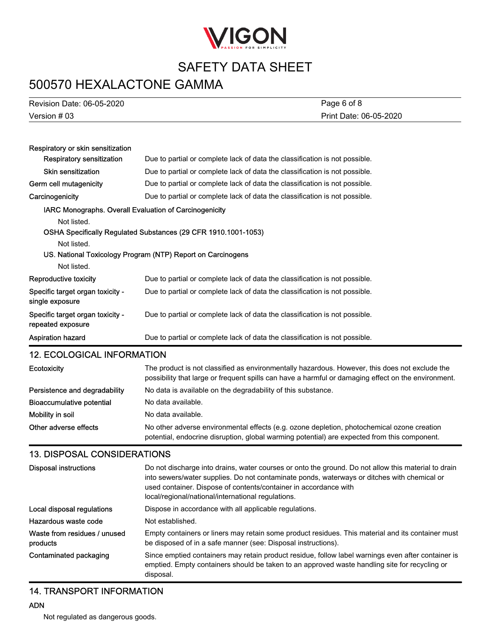

## 500570 HEXALACTONE GAMMA

| 500570 HEXALACTONE GAMMA                              |                                                                                                                                                                                                                                                                                                                              |  |  |  |
|-------------------------------------------------------|------------------------------------------------------------------------------------------------------------------------------------------------------------------------------------------------------------------------------------------------------------------------------------------------------------------------------|--|--|--|
| Revision Date: 06-05-2020                             | Page 6 of 8                                                                                                                                                                                                                                                                                                                  |  |  |  |
| Version # 03                                          | Print Date: 06-05-2020                                                                                                                                                                                                                                                                                                       |  |  |  |
|                                                       |                                                                                                                                                                                                                                                                                                                              |  |  |  |
| Respiratory or skin sensitization                     |                                                                                                                                                                                                                                                                                                                              |  |  |  |
| <b>Respiratory sensitization</b>                      | Due to partial or complete lack of data the classification is not possible.                                                                                                                                                                                                                                                  |  |  |  |
| Skin sensitization                                    | Due to partial or complete lack of data the classification is not possible.                                                                                                                                                                                                                                                  |  |  |  |
| Germ cell mutagenicity                                | Due to partial or complete lack of data the classification is not possible.                                                                                                                                                                                                                                                  |  |  |  |
| Carcinogenicity                                       | Due to partial or complete lack of data the classification is not possible.                                                                                                                                                                                                                                                  |  |  |  |
|                                                       | IARC Monographs. Overall Evaluation of Carcinogenicity                                                                                                                                                                                                                                                                       |  |  |  |
| Not listed.                                           |                                                                                                                                                                                                                                                                                                                              |  |  |  |
|                                                       | OSHA Specifically Regulated Substances (29 CFR 1910.1001-1053)                                                                                                                                                                                                                                                               |  |  |  |
| Not listed.                                           |                                                                                                                                                                                                                                                                                                                              |  |  |  |
|                                                       | US. National Toxicology Program (NTP) Report on Carcinogens                                                                                                                                                                                                                                                                  |  |  |  |
| Not listed.                                           |                                                                                                                                                                                                                                                                                                                              |  |  |  |
| Reproductive toxicity                                 | Due to partial or complete lack of data the classification is not possible.                                                                                                                                                                                                                                                  |  |  |  |
| Specific target organ toxicity -<br>single exposure   | Due to partial or complete lack of data the classification is not possible.                                                                                                                                                                                                                                                  |  |  |  |
| Specific target organ toxicity -<br>repeated exposure | Due to partial or complete lack of data the classification is not possible.                                                                                                                                                                                                                                                  |  |  |  |
| <b>Aspiration hazard</b>                              | Due to partial or complete lack of data the classification is not possible.                                                                                                                                                                                                                                                  |  |  |  |
| <b>12. ECOLOGICAL INFORMATION</b>                     |                                                                                                                                                                                                                                                                                                                              |  |  |  |
| Ecotoxicity                                           | The product is not classified as environmentally hazardous. However, this does not exclude the<br>possibility that large or frequent spills can have a harmful or damaging effect on the environment.                                                                                                                        |  |  |  |
| Persistence and degradability                         | No data is available on the degradability of this substance.                                                                                                                                                                                                                                                                 |  |  |  |
| <b>Bioaccumulative potential</b>                      | No data available.                                                                                                                                                                                                                                                                                                           |  |  |  |
| Mobility in soil                                      | No data available.                                                                                                                                                                                                                                                                                                           |  |  |  |
| Other adverse effects                                 | No other adverse environmental effects (e.g. ozone depletion, photochemical ozone creation<br>potential, endocrine disruption, global warming potential) are expected from this component.                                                                                                                                   |  |  |  |
| <b>13. DISPOSAL CONSIDERATIONS</b>                    |                                                                                                                                                                                                                                                                                                                              |  |  |  |
| <b>Disposal instructions</b>                          | Do not discharge into drains, water courses or onto the ground. Do not allow this material to drain<br>into sewers/water supplies. Do not contaminate ponds, waterways or ditches with chemical or<br>used container. Dispose of contents/container in accordance with<br>local/regional/national/international regulations. |  |  |  |
| Local disposal regulations                            | Dispose in accordance with all applicable regulations.                                                                                                                                                                                                                                                                       |  |  |  |
| Hazardous waste code                                  | Not established.                                                                                                                                                                                                                                                                                                             |  |  |  |
| Waste from residues / unused<br>products              | Empty containers or liners may retain some product residues. This material and its container must<br>be disposed of in a safe manner (see: Disposal instructions).                                                                                                                                                           |  |  |  |

Since emptied containers may retain product residue, follow label warnings even after container is emptied. Empty containers should be taken to an approved waste handling site for recycling or disposal. Contaminated packaging

## 14. TRANSPORT INFORMATION

Not regulated as dangerous goods.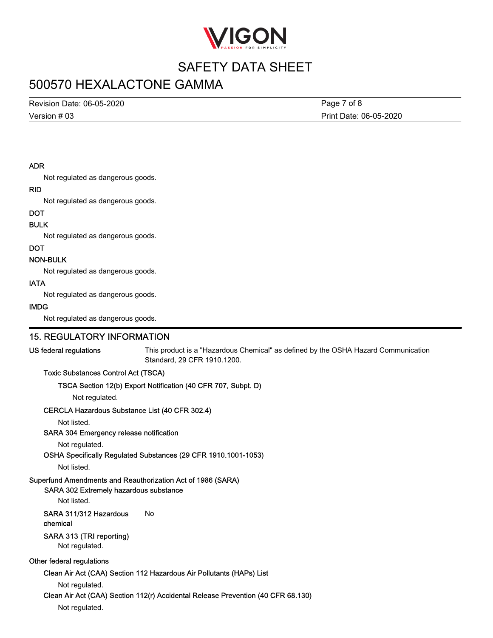

## 500570 HEXALACTONE GAMMA

Version # 03 Revision Date: 06-05-2020

Print Date: 06-05-2020 Page 7 of 8

#### ADR

Not regulated as dangerous goods.

#### RID

Not regulated as dangerous goods.

### **DOT**

#### BULK

Not regulated as dangerous goods.

#### DOT

#### NON-BULK

Not regulated as dangerous goods.

#### IATA

Not regulated as dangerous goods.

#### IMDG

Not regulated as dangerous goods.

### 15. REGULATORY INFORMATION

#### US federal regulations

This product is a "Hazardous Chemical" as defined by the OSHA Hazard Communication Standard, 29 CFR 1910.1200.

#### Toxic Substances Control Act (TSCA)

#### TSCA Section 12(b) Export Notification (40 CFR 707, Subpt. D)

Not regulated.

### CERCLA Hazardous Substance List (40 CFR 302.4)

Not listed.

### SARA 304 Emergency release notification

Not regulated.

### OSHA Specifically Regulated Substances (29 CFR 1910.1001-1053)

Not listed.

### Superfund Amendments and Reauthorization Act of 1986 (SARA)

### SARA 302 Extremely hazardous substance

Not listed.

### SARA 311/312 Hazardous No chemical

### SARA 313 (TRI reporting)

Not regulated.

### Other federal regulations

### Clean Air Act (CAA) Section 112 Hazardous Air Pollutants (HAPs) List

Not regulated.

### Clean Air Act (CAA) Section 112(r) Accidental Release Prevention (40 CFR 68.130)

Not regulated.